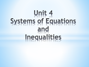# Unit 4 Systems of Equations and Inequalities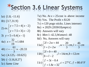# \*Section 3.6 Linear Systems

 $1a)$   $(1.8, -11.6)$  $1b)$   $(3.7,31.9)$  $(x-2)$  $(x-2)$  $7.5 + 4(x - 2)$ 2)  $ex.\begin{cases} y = 7.5 + 3(x - 2) \end{cases}$  $y = 7.5 + 4(x \big\{$  $y = 7.5 + 3(x$  $y = 7.5 + 4(x)$ *ex*  $y = 7.5 + 3(x)$ 3)  $y = 5 + 0.4(x - 1)$ 4b)  $t = -\frac{61}{3} \approx -20.33$ 3 *b*)  $t=-\frac{01}{2}\approx -$ 4*a*)  $x = \frac{32}{19} \approx 1.684$ *a*)  $x = \frac{32}{18} \approx$ 5*a*)  $(4.125, -10.625)$ 5b)  $(-3.16, 8.27)$ 5c) Same Line

7*a*) No. At  $x = 25$  cost is above income 7*b*) Yes. The Profit  $\approx$  \$120  $7c \approx 120$  pogo sticks. Lines intersect 8*a*)  $\approx 2029 (2030 \text{ Olympics})$ 8*b*) Answers will vary 8c) Men 1:42.3, Women1:48 8*d*) No, Answers will vary  $11a$ ) $\begin{cases} 2l + 2w = 44 \\ l = 2 + 2w \end{cases}$ ,  $w = \frac{20}{3}$  cm,  $l = \frac{46}{3}$  $l = 2 +$  $l + 2w$  $a) \left\{\begin{array}{ccc} 1 & -i & i \\ i & 0 & 0 \end{array}\right\}, w = \frac{20}{3}$  cm,  $l = \frac{10}{3}$  cm  $l = 2 + 2w$  $2l + b = 40$  $11b$ ) $b = l-2$ ,  $l = 14cm, b = 12$  $\begin{cases} 2l + b = 40 \\ l = 14cm, b = 14cm \end{cases}$  $\big|b = l$  $l + b$ *b*) $\left\{\frac{1}{l}, \frac{1}{l}, \frac{1}{l}\right\} = 14cm, b = 12cm$  $b = l$  $3c - 0.4$  $11 c$ ) $\left\{\right\}^{J}_{f=1.8c+32}$ ,  $c = 27^{\circ}C$ ,  $f = 80.6$  $\int f = 3c$  $\left\{ \begin{array}{ll} 0 & \text{if } c \neq 0.5 \\ 0 & \text{if } c \neq 1, 8 \neq 0.22 \end{array} \right.$  $\int f = 1.8c +$  $f = 3c$  $c^{c}$   $\Big\{ \int_{f=1.8c+32}^{f}$ ,  $c = 27^{\circ}C, f = 80.6^{\circ}F$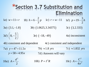#### \*Section 3.7 Substitution and Elimination<br>
la)  $w=11+r$  lb)  $h=6-\frac{2}{3}p$  lc)  $r=w-11$  ld)  $p=19-\frac{3}{2}h$  $3a)$   $(3.1,-1.8)$  $3b)$   $(1.0625, 3.34375)$  $3c)$   $(3,2.333)$ 3d)  $\left(8, -\frac{5}{2}\right)$  $3e (-18,-49)$  $4a)$  inconsistent

4*b*) consistent and dependent  $4c)$  consistent and independent 7b)  $\approx$  1.8 yrs 7a)  $y = 47 + 11.5x$  $7c \approx 1.832 \text{ yrs}$  $y = 58 + 4.95x$ 7d) Answers will vary

10a)  $A = \frac{d^2}{2}$ 

10c)  $A = \frac{C^2}{4\pi r^2}$ 10*b*)  $P = I^2 R$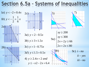## Section 6.5a - Systems of Inequalities

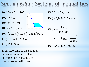# Section 6.5b - Systems of Inequalities

- $10a)$   $5x + 2y > 100$ 10*b*)  $y < 10$ 10c)  $x + y \le 40$ 10*d*)  $x \ge 0$ ,  $y \ge 0$ 10e)  $(20,0)$ ,  $(40,0)$ ,  $(30,10)$ ,  $(16,10)$ 11*a*) *above* 12,800 *km*
- 11 ) 159.45 *b lb*
- 11c) According to the equation, w can never equal 0. The equation does not apply to freefall so in reality, yes.
- 15*a*) 2 *or* 3 *spores*
- $15b \approx 1,868,302$  *spores*

15c) 
$$
y = \frac{\log \frac{x}{2.68}}{\log 3.84}
$$
  
or  $y = \log_{3.84} \left(\frac{x}{2.68}\right)$ 

15*d*) *after* 14 *hr* 40 min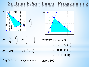### Section 6.6a - Linear Programm



$$
(2a)\left(\frac{20}{3},\frac{10}{3}\right) \quad (2b)\left(\frac{10}{3},\frac{5}{3}\right)
$$

 $2d)(0,10)$  $2c)(0,10)$ 



verticies (5500,5000),  $(5500, 165000),$  $(10000, 30000),$  $(35000, 5000)$ 

2e) It is not always obvious max 3800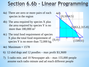# Section 6.6b - Linear Programmir

- 4a) There are zero or more pairs of each species in the region
- 4b) The area required by species X plus the area required by species Y is no more than 180,000 m<sup>2</sup>
- 4c) The total food requirement of species X plus the total food requirement of species Y is no more than 72,000 kg.
- 4e) Maximum = 1578
- 6) 12 sled dogs and 12 poodles max profit \$3,3600
- 7) 5 radio min. and 10 Newspaper ads max 155,000 people assume each radio minute and ad reach different people